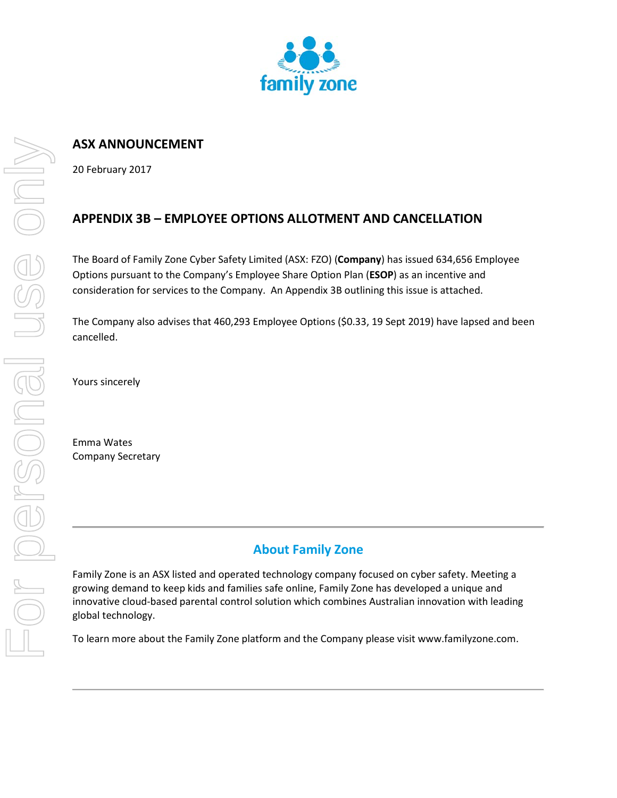

## **ASX ANNOUNCEMENT**

20 February 2017

## **APPENDIX 3B – EMPLOYEE OPTIONS ALLOTMENT AND CANCELLATION**

The Board of Family Zone Cyber Safety Limited (ASX: FZO) (**Company**) has issued 634,656 Employee Options pursuant to the Company's Employee Share Option Plan (**ESOP**) as an incentive and consideration for services to the Company. An Appendix 3B outlining this issue is attached.

The Company also advises that 460,293 Employee Options (\$0.33, 19 Sept 2019) have lapsed and been cancelled.

Yours sincerely

Emma Wates Company Secretary

## **About Family Zone**

Family Zone is an ASX listed and operated technology company focused on cyber safety. Meeting a growing demand to keep kids and families safe online, Family Zone has developed a unique and innovative cloud-based parental control solution which combines Australian innovation with leading global technology.

To learn more about the Family Zone platform and the Company please visit www.familyzone.com.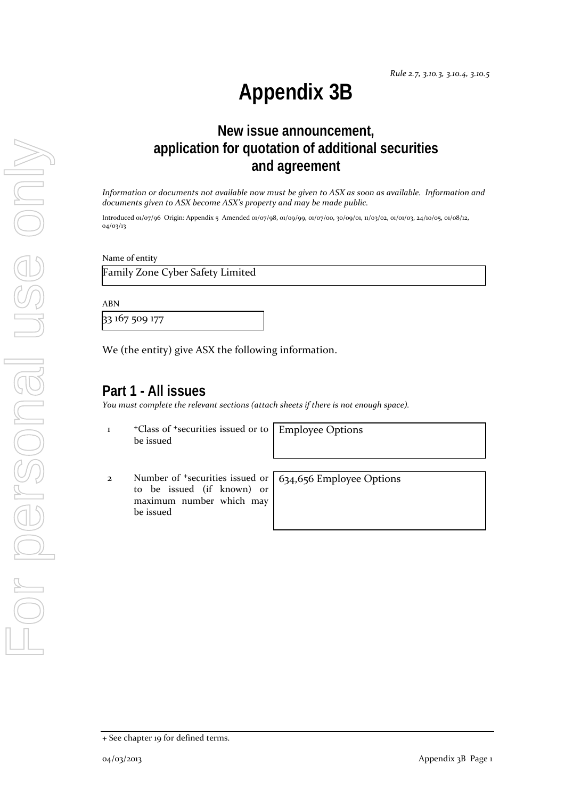# **Appendix 3B**

# **New issue announcement, application for quotation of additional securities and agreement**

*Information or documents not available now must be given to ASX as soon as available. Information and documents given to ASX become ASX's property and may be made public.*

Introduced 01/07/96 Origin: Appendix 5 Amended 01/07/98, 01/09/99, 01/07/00, 30/09/01, 11/03/02, 01/01/03, 24/10/05, 01/08/12, 04/03/13

Name of entity

Family Zone Cyber Safety Limited

ABN

33 167 509 177

We (the entity) give ASX the following information.

## **Part 1 - All issues**

*You must complete the relevant sections (attach sheets if there is not enough space).*

1 +Class of +securities issued or to be issued

Employee Options

2 Number of +securities issued or to be issued (if known) or maximum number which may be issued

634,656 Employee Options

<sup>+</sup> See chapter 19 for defined terms.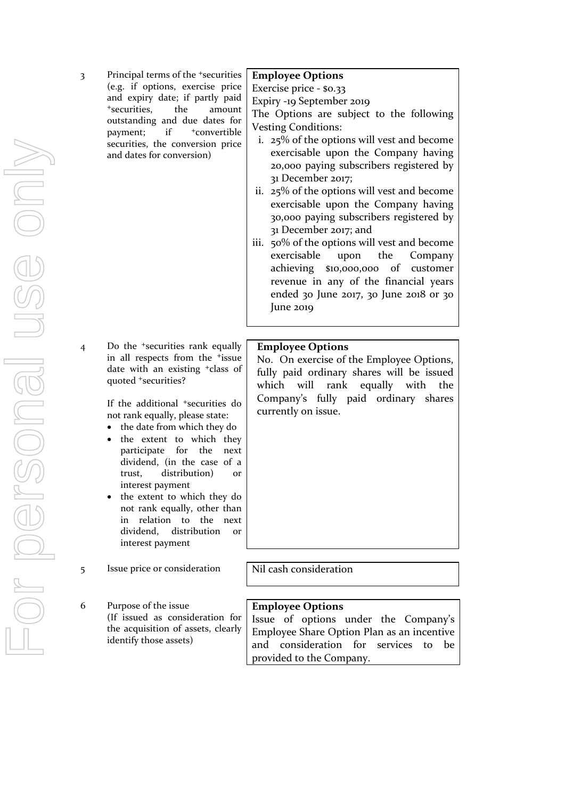3 Principal terms of the +securities (e.g. if options, exercise price and expiry date; if partly paid +securities, the amount outstanding and due dates for payment; if <sup>+</sup>convertible securities, the conversion price and dates for conversion)

4 Do the +securities rank equally in all respects from the <sup>+</sup>issue date with an existing +class of quoted +securities?

> If the additional <sup>+</sup>securities do not rank equally, please state:

- the date from which they do
- the extent to which they participate for the next dividend, (in the case of a trust, distribution) or interest payment
- the extent to which they do not rank equally, other than in relation to the next dividend, distribution or interest payment
- 5 Issue price or consideration | Nil cash consideration
- 6 Purpose of the issue (If issued as consideration for the acquisition of assets, clearly identify those assets)

#### **Employee Options**

Exercise price - \$0.33

Expiry -19 September 2019

The Options are subject to the following Vesting Conditions:

- i. 25% of the options will vest and become exercisable upon the Company having 20,000 paying subscribers registered by 31 December 2017;
- ii. 25% of the options will vest and become exercisable upon the Company having 30,000 paying subscribers registered by 31 December 2017; and
- iii. 50% of the options will vest and become exercisable upon the Company achieving \$10,000,000 of customer revenue in any of the financial years ended 30 June 2017, 30 June 2018 or 30 June 2019

#### **Employee Options**

No. On exercise of the Employee Options, fully paid ordinary shares will be issued which will rank equally with the Company's fully paid ordinary shares currently on issue.

#### **Employee Options**

Issue of options under the Company's Employee Share Option Plan as an incentive and consideration for services to be provided to the Company.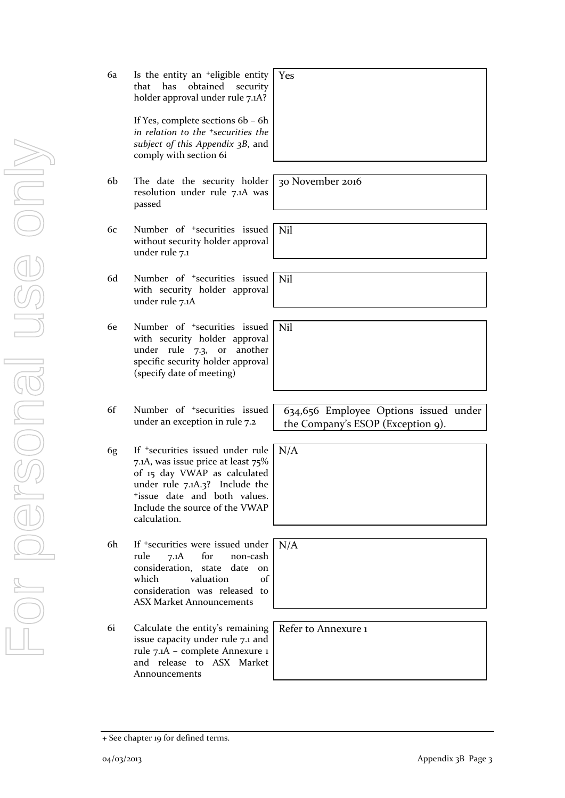- For personal use only For personal use onny
- 6a Is the entity an +eligible entity that has obtained security holder approval under rule 7.1A? Yes

If Yes, complete sections 6b – 6h *in relation to the +securities the subject of this Appendix 3B*, and comply with section 6i

- 6b The date the security holder resolution under rule 7.1A was passed
- 6c Number of +securities issued without security holder approval under rule 7.1
- 6d Number of +securities issued with security holder approval under rule 7.1A
- 6e Number of +securities issued with security holder approval under rule 7.3, or another specific security holder approval (specify date of meeting)
- 6f Number of +securities issued under an exception in rule 7.2
- 6g If +securities issued under rule 7.1A, was issue price at least 75% of 15 day VWAP as calculated under rule 7.1A.3? Include the +issue date and both values. Include the source of the VWAP calculation.

6h If +securities were issued under rule 7.1A for non-cash consideration, state date on which valuation of consideration was released to ASX Market Announcements

6i Calculate the entity's remaining issue capacity under rule 7.1 and rule 7.1A – complete Annexure 1 and release to ASX Market Announcements

+ See chapter 19 for defined terms.

634,656 Employee Options issued under the Company's ESOP (Exception 9).

Refer to Annexure 1

30 November 2016

Nil

N/A

N/A

Nil

Nil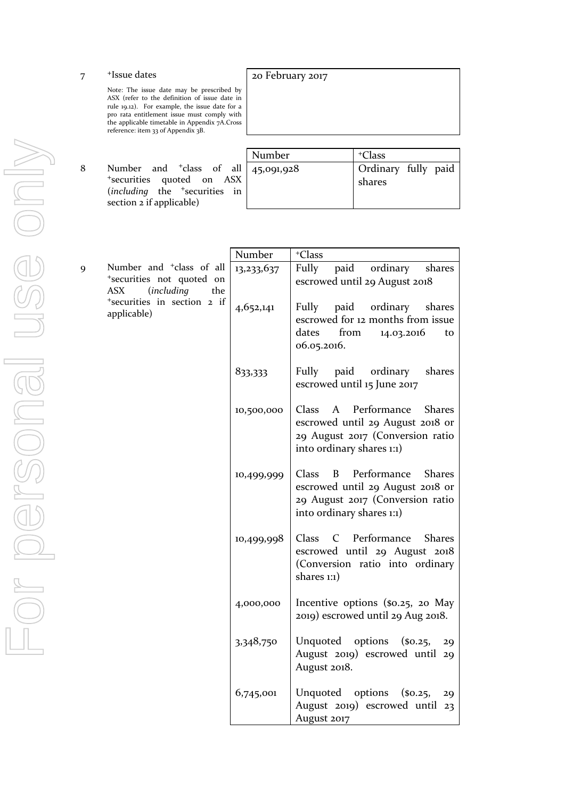7 +Issue dates

Note: The issue date may be prescribed by ASX (refer to the definition of issue date in rule 19.12). For example, the issue date for a pro rata entitlement issue must comply with the applicable timetable in Appendix  $7A$ .Cross reference: item 33 of Appendix 3B.

8 Number and <sup>+</sup>class of all <sup>+</sup>securities quoted on ASX (*including* the <sup>+</sup>securities in section 2 if applicable)

| Number     | <sup>+</sup> Class            |
|------------|-------------------------------|
| 45,091,928 | Ordinary fully paid<br>shares |

20 February 2017

|                                                                                                           |                                            | Number                                                               | <sup>+</sup> Class                                                                                                                              |
|-----------------------------------------------------------------------------------------------------------|--------------------------------------------|----------------------------------------------------------------------|-------------------------------------------------------------------------------------------------------------------------------------------------|
| Number and <sup>+</sup> class of all<br>9<br>*securities not quoted on<br>ASX<br><i>(including</i><br>the | 13,233,637                                 | Fully<br>paid<br>ordinary<br>shares<br>escrowed until 29 August 2018 |                                                                                                                                                 |
|                                                                                                           | *securities in section 2 if<br>applicable) | 4,652,141                                                            | Fully paid<br>ordinary<br>shares<br>escrowed for 12 months from issue<br>from<br>dates<br>14.03.2016<br>to<br>06.05.2016.                       |
|                                                                                                           |                                            | 833,333                                                              | Fully paid ordinary<br>shares<br>escrowed until 15 June 2017                                                                                    |
|                                                                                                           |                                            | 10,500,000                                                           | A Performance<br>Class<br><b>Shares</b><br>escrowed until 29 August 2018 or<br>29 August 2017 (Conversion ratio<br>into ordinary shares 1:1)    |
|                                                                                                           |                                            | 10,499,999                                                           | Class<br>B<br>Performance<br><b>Shares</b><br>escrowed until 29 August 2018 or<br>29 August 2017 (Conversion ratio<br>into ordinary shares 1:1) |
|                                                                                                           |                                            | 10,499,998                                                           | C Performance<br>Class<br><b>Shares</b><br>escrowed until 29 August 2018<br>(Conversion ratio into ordinary<br>shares 1:1)                      |
|                                                                                                           |                                            | 4,000,000                                                            | Incentive options (\$0.25, 20 May<br>2019) escrowed until 29 Aug 2018.                                                                          |
|                                                                                                           |                                            | 3,348,750                                                            | Unquoted options<br>$($ \$0.25,<br>29<br>August 2019) escrowed until 29<br>August 2018.                                                         |
|                                                                                                           |                                            | 6,745,001                                                            | Unquoted options<br>$($ so.25,<br>29<br>August 2019) escrowed until 23<br>August 2017                                                           |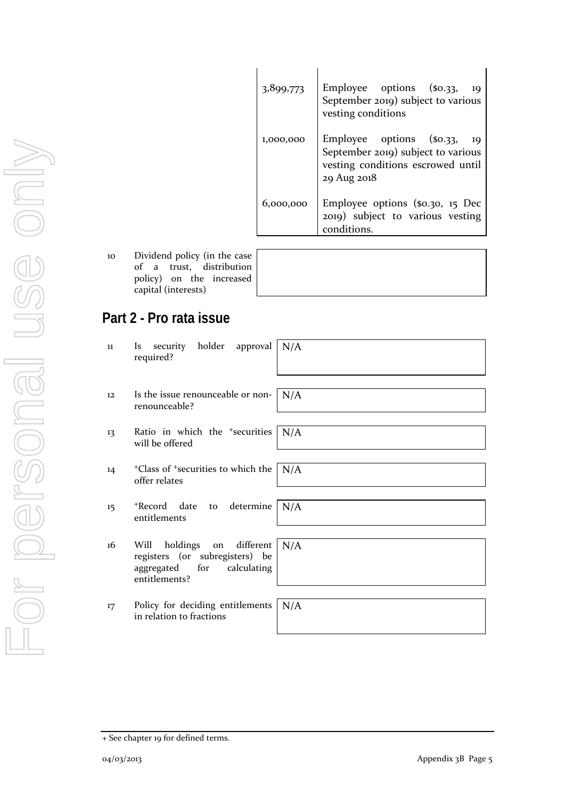| 3,899,773 | Employee options (\$0.33,<br>- 19<br>September 2019) subject to various<br>vesting conditions                               |
|-----------|-----------------------------------------------------------------------------------------------------------------------------|
| 1,000,000 | Employee options (\$0.33,<br>- 19<br>September 2019) subject to various<br>vesting conditions escrowed until<br>29 Aug 2018 |
| 6,000,000 | Employee options (\$0.30, 15 Dec<br>2019) subject to various vesting<br>conditions.                                         |

10 Dividend policy (in the of a trust, distribution policy) on the incre capital (interests)

| e case<br>ution |  |  |
|-----------------|--|--|
| eased           |  |  |

# **Part 2 - Pro rata issue**

| 11 | security holder approval<br><i>Is</i><br>required?                                                                   | N/A |
|----|----------------------------------------------------------------------------------------------------------------------|-----|
| 12 | Is the issue renounceable or non-<br>renounceable?                                                                   | N/A |
| 13 | Ratio in which the <sup>+</sup> securities<br>will be offered                                                        | N/A |
| 14 | <sup>+</sup> Class of <sup>+</sup> securities to which the<br>offer relates                                          | N/A |
| 15 | *Record date to determine<br>entitlements                                                                            | N/A |
| 16 | holdings<br>on different<br>Will<br>registers (or subregisters) be<br>aggregated<br>for calculating<br>entitlements? | N/A |
| 17 | Policy for deciding entitlements<br>in relation to fractions                                                         | N/A |

<sup>+</sup> See chapter 19 for defined terms.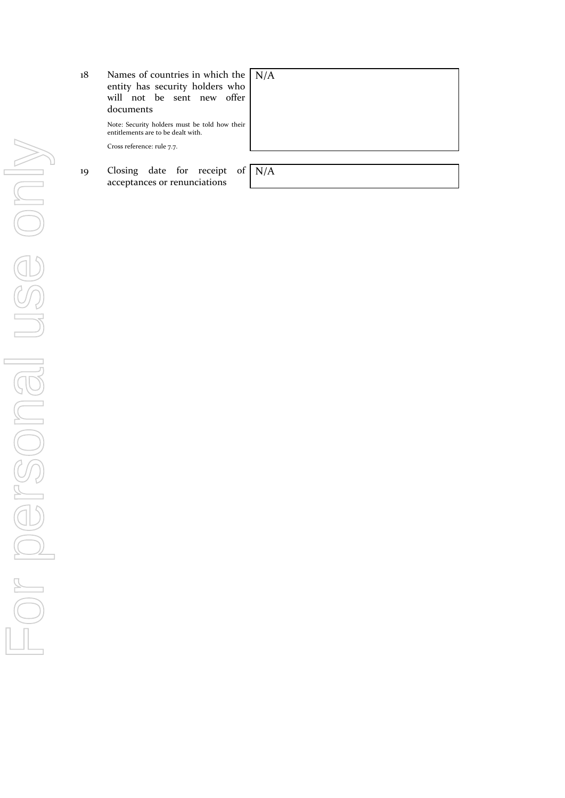| 18 | Names of countries in which the $\vert N/A \rangle$<br>entity has security holders who<br>will not be sent new offer<br>documents |  |
|----|-----------------------------------------------------------------------------------------------------------------------------------|--|
|    | Note: Security holders must be told how their<br>entitlements are to be dealt with.<br>Cross reference: rule 7.7.                 |  |
|    |                                                                                                                                   |  |
| 19 | Closing date for receipt of $N/A$<br>acceptances or renunciations                                                                 |  |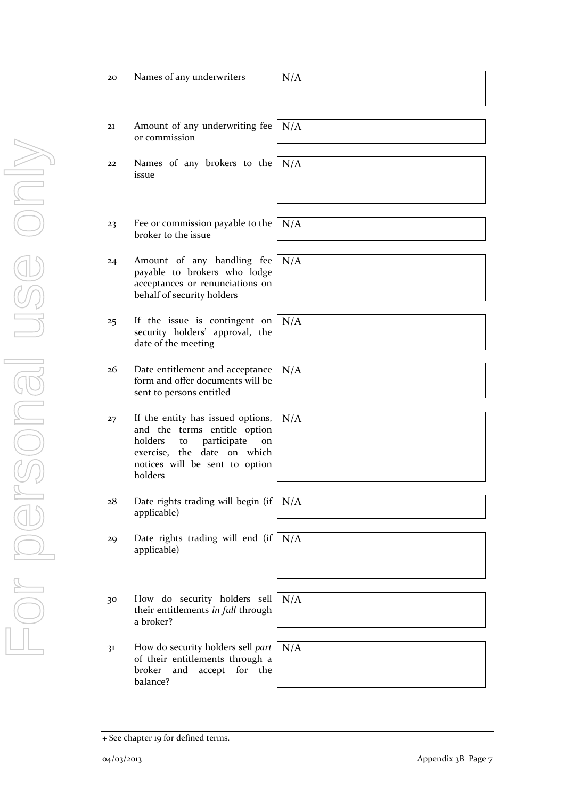For personal use only USE ONN Dr personal

#### 20 Names of any underwriters  $N/A$

- 21 Amount of any underwriting fee or commission
- 22 Names of any brokers to the issue N/A
- 23 Fee or commission payable to the broker to the issue
- 24 Amount of any handling fee payable to brokers who lodge acceptances or renunciations on behalf of security holders
- 25 If the issue is contingent on security holders' approval, the date of the meeting
- 26 Date entitlement and acceptance form and offer documents will be sent to persons entitled
- 27 If the entity has issued options, and the terms entitle option holders to participate on exercise, the date on which notices will be sent to option holders
- 28 Date rights trading will begin (if applicable)
- 29 Date rights trading will end (if applicable)
- 30 How do security holders sell their entitlements *in full* through a broker?
- 31 How do security holders sell *part* of their entitlements through a broker and accept for the balance?

+ See chapter 19 for defined terms.

| N/A |  |  |
|-----|--|--|

N/A

N/A

N/A

N/A

N/A

N/A

N/A

04/03/2013 Appendix 3B Page 7

N/A

N/A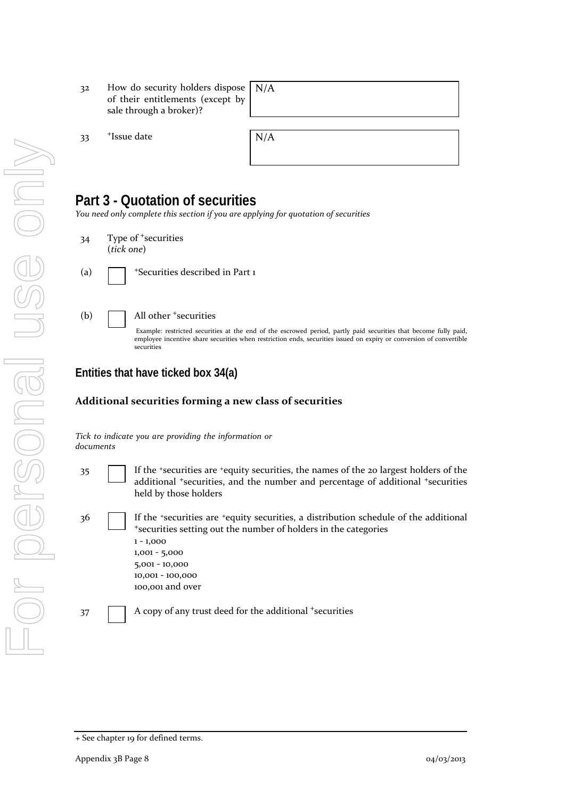- 32 How do security holders dispose of their entitlements (except by sale through a broker)? N/A
- 33 <sup>+</sup>Issue date

| N/A |  |  |
|-----|--|--|
|     |  |  |
|     |  |  |
|     |  |  |

## **Part 3 - Quotation of securities**

*You need only complete this section if you are applying for quotation of securities*

- 34 Type of <sup>+</sup>securities (*tick one*)
- 

(a)  $\blacksquare$  + Securities described in Part 1

#### (b) All other <sup>+</sup>securities

Example: restricted securities at the end of the escrowed period, partly paid securities that become fully paid, employee incentive share securities when restriction ends, securities issued on expiry or conversion of convertible securities

### **Entities that have ticked box 34(a)**

#### **Additional securities forming a new class of securities**

*Tick to indicate you are providing the information or documents*

- 35 If the +securities are +equity securities, the names of the 20 largest holders of the additional <sup>+</sup>securities, and the number and percentage of additional <sup>+</sup>securities held by those holders
- 36 If the <sup>+</sup>securities are <sup>+</sup>equity securities, a distribution schedule of the additional <sup>+</sup>securities setting out the number of holders in the categories 1 - 1,000 1,001 - 5,000 5,001 - 10,000 10,001 - 100,000 100,001 and over 37 A copy of any trust deed for the additional +securities

<sup>+</sup> See chapter 19 for defined terms.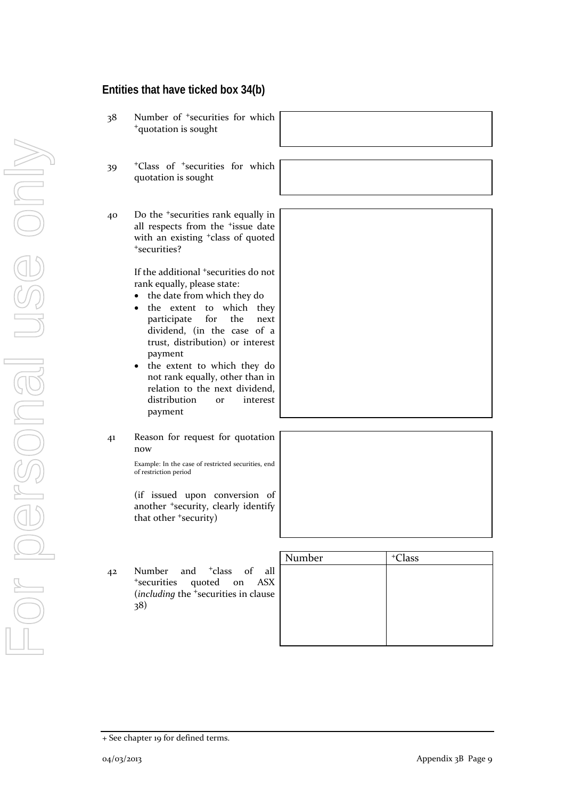## **Entities that have ticked box 34(b)**

- 38 Number of <sup>+</sup>securities for which <sup>+</sup>quotation is sought
- 39 <sup>+</sup>Class of <sup>+</sup>securities for which quotation is sought
- 40 Do the <sup>+</sup>securities rank equally in all respects from the <sup>+</sup>issue date with an existing <sup>+</sup>class of quoted <sup>+</sup>securities?

If the additional <sup>+</sup>securities do not rank equally, please state:

- the date from which they do
- the extent to which they participate for the next dividend, (in the case of a trust, distribution) or interest payment
- the extent to which they do not rank equally, other than in relation to the next dividend, distribution or interest payment
- 41 Reason for request for quotation now

Example: In the case of restricted securities, end of restriction period

(if issued upon conversion of another <sup>+</sup>security, clearly identify that other <sup>+</sup>security)

42 Number and <sup>+</sup>class of all <sup>+</sup>securities quoted on ASX (*including* the <sup>+</sup>securities in clause 38)

| Number | <sup>+</sup> Class |
|--------|--------------------|
|        |                    |
|        |                    |
|        |                    |
|        |                    |
|        |                    |
|        |                    |

|  | + See chapter 19 for defined terms. |  |  |  |
|--|-------------------------------------|--|--|--|
|--|-------------------------------------|--|--|--|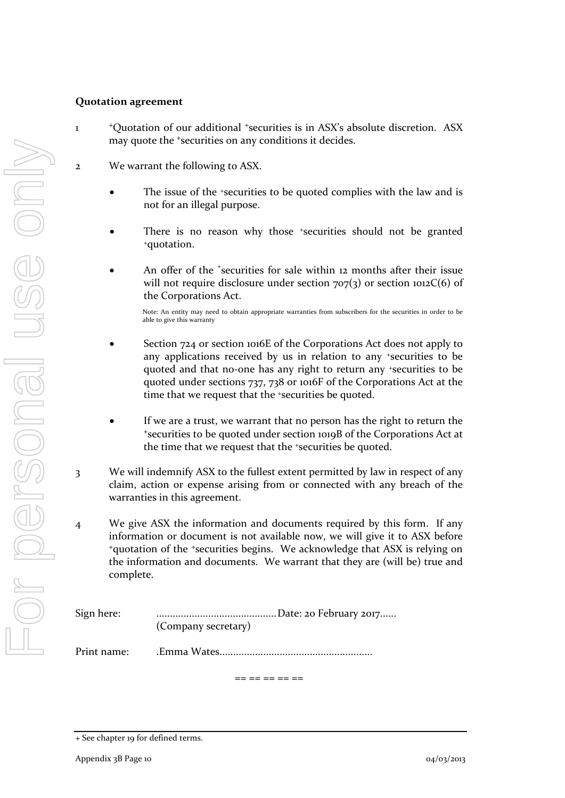#### **Quotation agreement**

- 1 <sup>+</sup>Quotation of our additional +securities is in ASX's absolute discretion. ASX may quote the +securities on any conditions it decides.
- 2 We warrant the following to ASX.
	- The issue of the +securities to be quoted complies with the law and is not for an illegal purpose.
	- There is no reason why those +securities should not be granted +quotation.
	- An offer of the <sup>+</sup>securities for sale within 12 months after their issue will not require disclosure under section  $707(3)$  or section  $1012C(6)$  of the Corporations Act.

Note: An entity may need to obtain appropriate warranties from subscribers for the securities in order to be able to give this warranty

- Section 724 or section 1016E of the Corporations Act does not apply to any applications received by us in relation to any +securities to be quoted and that no-one has any right to return any +securities to be quoted under sections 737, 738 or 1016F of the Corporations Act at the time that we request that the <sup>+</sup>securities be quoted.
- If we are a trust, we warrant that no person has the right to return the <sup>+</sup>securities to be quoted under section 1019B of the Corporations Act at the time that we request that the +securities be quoted.
- 3 We will indemnify ASX to the fullest extent permitted by law in respect of any claim, action or expense arising from or connected with any breach of the warranties in this agreement.
- 4 We give ASX the information and documents required by this form. If any information or document is not available now, we will give it to ASX before <sup>+</sup>quotation of the +securities begins. We acknowledge that ASX is relying on the information and documents. We warrant that they are (will be) true and complete.

| Sign here:  | (Company secretary) |
|-------------|---------------------|
| Print name: |                     |

== == == == ==

<sup>+</sup> See chapter 19 for defined terms.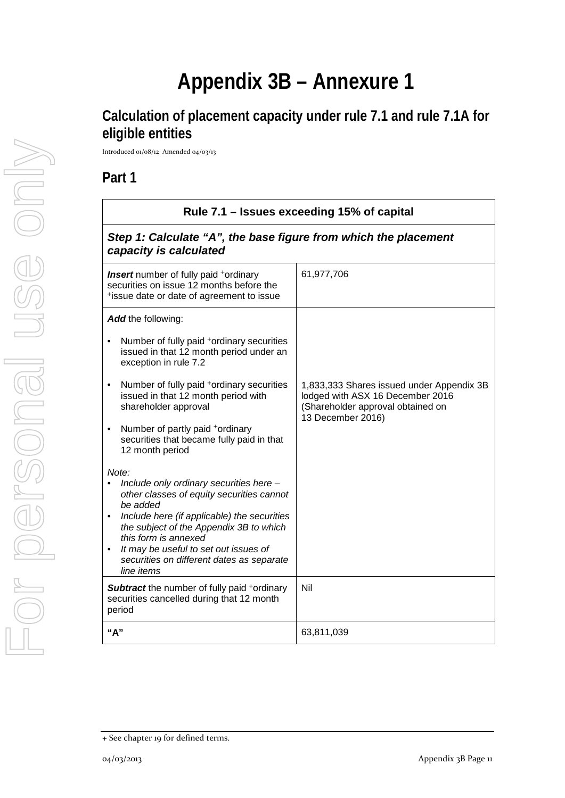# **Appendix 3B – Annexure 1**

# **Calculation of placement capacity under rule 7.1 and rule 7.1A for eligible entities**

Introduced 01/08/12 Amended 04/03/13

## **Part 1**

| Rule 7.1 - Issues exceeding 15% of capital                                                                                                                   |                                                                                                                                         |  |
|--------------------------------------------------------------------------------------------------------------------------------------------------------------|-----------------------------------------------------------------------------------------------------------------------------------------|--|
| Step 1: Calculate "A", the base figure from which the placement<br>capacity is calculated                                                                    |                                                                                                                                         |  |
| <b>Insert</b> number of fully paid <sup>+</sup> ordinary<br>securities on issue 12 months before the<br>*issue date or date of agreement to issue            | 61,977,706                                                                                                                              |  |
| Add the following:                                                                                                                                           |                                                                                                                                         |  |
| Number of fully paid <sup>+</sup> ordinary securities<br>issued in that 12 month period under an<br>exception in rule 7.2                                    |                                                                                                                                         |  |
| Number of fully paid <sup>+</sup> ordinary securities<br>٠<br>issued in that 12 month period with<br>shareholder approval                                    | 1,833,333 Shares issued under Appendix 3B<br>lodged with ASX 16 December 2016<br>(Shareholder approval obtained on<br>13 December 2016) |  |
| Number of partly paid +ordinary<br>securities that became fully paid in that<br>12 month period                                                              |                                                                                                                                         |  |
| Note:                                                                                                                                                        |                                                                                                                                         |  |
| Include only ordinary securities here -<br>other classes of equity securities cannot<br>be added<br>Include here (if applicable) the securities<br>$\bullet$ |                                                                                                                                         |  |
| the subject of the Appendix 3B to which<br>this form is annexed                                                                                              |                                                                                                                                         |  |
| It may be useful to set out issues of<br>٠<br>securities on different dates as separate<br>line items                                                        |                                                                                                                                         |  |
| <b>Subtract</b> the number of fully paid +ordinary<br>securities cancelled during that 12 month<br>period                                                    | Nil                                                                                                                                     |  |
| "А"                                                                                                                                                          | 63,811,039                                                                                                                              |  |

<sup>+</sup> See chapter 19 for defined terms.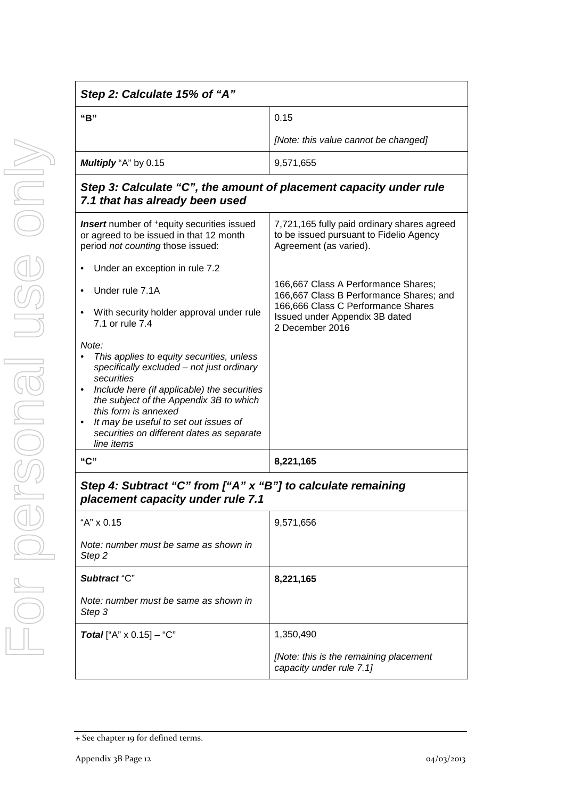| Step 2: Calculate 15% of "A"                                                                                                                                                                                                                                                                                                                                  |                                                                                                                                                                           |
|---------------------------------------------------------------------------------------------------------------------------------------------------------------------------------------------------------------------------------------------------------------------------------------------------------------------------------------------------------------|---------------------------------------------------------------------------------------------------------------------------------------------------------------------------|
| "B"                                                                                                                                                                                                                                                                                                                                                           | 0.15                                                                                                                                                                      |
|                                                                                                                                                                                                                                                                                                                                                               | [Note: this value cannot be changed]                                                                                                                                      |
| Multiply "A" by 0.15                                                                                                                                                                                                                                                                                                                                          | 9,571,655                                                                                                                                                                 |
| Step 3: Calculate "C", the amount of placement capacity under rule<br>7.1 that has already been used                                                                                                                                                                                                                                                          |                                                                                                                                                                           |
| Insert number of <sup>+</sup> equity securities issued<br>or agreed to be issued in that 12 month<br>period not counting those issued:                                                                                                                                                                                                                        | 7,721,165 fully paid ordinary shares agreed<br>to be issued pursuant to Fidelio Agency<br>Agreement (as varied).                                                          |
| Under an exception in rule 7.2                                                                                                                                                                                                                                                                                                                                |                                                                                                                                                                           |
| Under rule 7.1A<br>With security holder approval under rule<br>٠<br>7.1 or rule 7.4                                                                                                                                                                                                                                                                           | 166,667 Class A Performance Shares;<br>166,667 Class B Performance Shares; and<br>166,666 Class C Performance Shares<br>Issued under Appendix 3B dated<br>2 December 2016 |
| Note:<br>This applies to equity securities, unless<br>specifically excluded - not just ordinary<br>securities<br>Include here (if applicable) the securities<br>$\bullet$<br>the subject of the Appendix 3B to which<br>this form is annexed<br>It may be useful to set out issues of<br>$\bullet$<br>securities on different dates as separate<br>line items |                                                                                                                                                                           |
| "C"                                                                                                                                                                                                                                                                                                                                                           | 8,221,165                                                                                                                                                                 |
| Step 4: Subtract "C" from ["A" x "B"] to calculate remaining<br>placement capacity under rule 7.1                                                                                                                                                                                                                                                             |                                                                                                                                                                           |
| "A" x 0.15                                                                                                                                                                                                                                                                                                                                                    | 9,571,656                                                                                                                                                                 |

| . <i>.</i>                                      |                                                                    |
|-------------------------------------------------|--------------------------------------------------------------------|
| "A" x 0.15                                      | 9,571,656                                                          |
| Note: number must be same as shown in<br>Step 2 |                                                                    |
| Subtract "C"                                    | 8,221,165                                                          |
| Note: number must be same as shown in<br>Step 3 |                                                                    |
| <b>Total</b> ["A" $\times$ 0.15] – "C"          | 1,350,490                                                          |
|                                                 | [Note: this is the remaining placement<br>capacity under rule 7.1] |

<sup>+</sup> See chapter 19 for defined terms.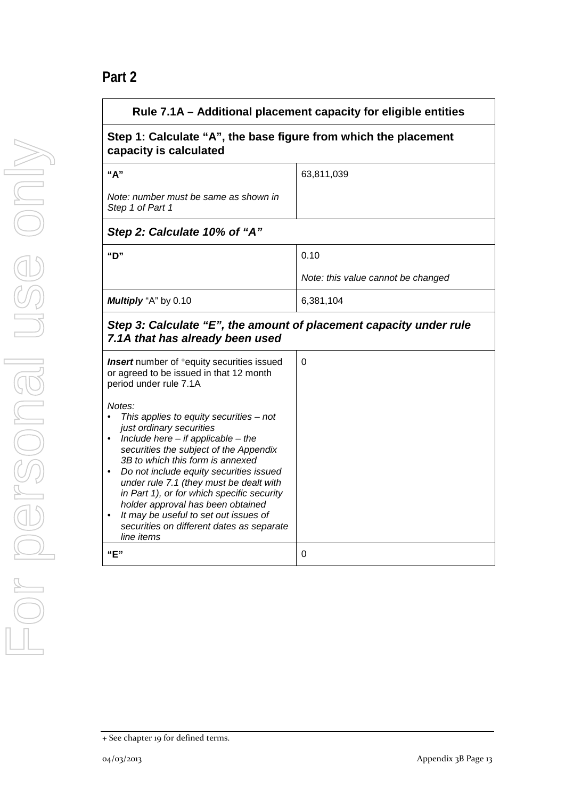# **Part 2**

| Rule 7.1A – Additional placement capacity for eligible entities                                                                                                                                                                                                                                                                                                                                                                                                                      |                                    |  |
|--------------------------------------------------------------------------------------------------------------------------------------------------------------------------------------------------------------------------------------------------------------------------------------------------------------------------------------------------------------------------------------------------------------------------------------------------------------------------------------|------------------------------------|--|
| Step 1: Calculate "A", the base figure from which the placement<br>capacity is calculated                                                                                                                                                                                                                                                                                                                                                                                            |                                    |  |
| "A"                                                                                                                                                                                                                                                                                                                                                                                                                                                                                  | 63,811,039                         |  |
| Note: number must be same as shown in<br>Step 1 of Part 1                                                                                                                                                                                                                                                                                                                                                                                                                            |                                    |  |
| Step 2: Calculate 10% of "A"                                                                                                                                                                                                                                                                                                                                                                                                                                                         |                                    |  |
| "D"                                                                                                                                                                                                                                                                                                                                                                                                                                                                                  | 0.10                               |  |
|                                                                                                                                                                                                                                                                                                                                                                                                                                                                                      | Note: this value cannot be changed |  |
| Multiply "A" by 0.10                                                                                                                                                                                                                                                                                                                                                                                                                                                                 | 6,381,104                          |  |
| Step 3: Calculate "E", the amount of placement capacity under rule<br>7.1A that has already been used                                                                                                                                                                                                                                                                                                                                                                                |                                    |  |
| <b>Insert</b> number of <sup>+</sup> equity securities issued<br>or agreed to be issued in that 12 month<br>period under rule 7.1A                                                                                                                                                                                                                                                                                                                                                   | 0                                  |  |
| Notes:<br>This applies to equity securities $-$ not<br>just ordinary securities<br>Include here $-$ if applicable $-$ the<br>securities the subject of the Appendix<br>3B to which this form is annexed<br>Do not include equity securities issued<br>under rule 7.1 (they must be dealt with<br>in Part 1), or for which specific security<br>holder approval has been obtained<br>It may be useful to set out issues of<br>securities on different dates as separate<br>line items |                                    |  |
| "E"                                                                                                                                                                                                                                                                                                                                                                                                                                                                                  | 0                                  |  |

<sup>+</sup> See chapter 19 for defined terms.